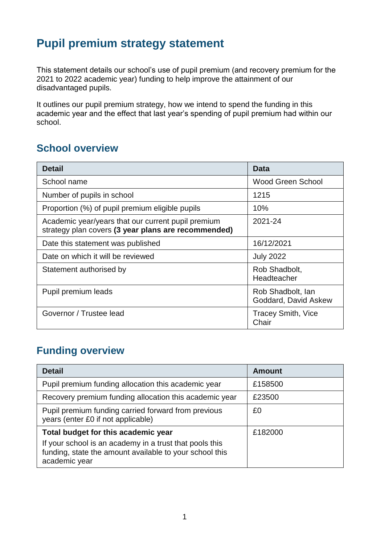# **Pupil premium strategy statement**

This statement details our school's use of pupil premium (and recovery premium for the 2021 to 2022 academic year) funding to help improve the attainment of our disadvantaged pupils.

It outlines our pupil premium strategy, how we intend to spend the funding in this academic year and the effect that last year's spending of pupil premium had within our school.

### **School overview**

| <b>Detail</b>                                                                                             | Data                                      |
|-----------------------------------------------------------------------------------------------------------|-------------------------------------------|
| School name                                                                                               | Wood Green School                         |
| Number of pupils in school                                                                                | 1215                                      |
| Proportion (%) of pupil premium eligible pupils                                                           | 10%                                       |
| Academic year/years that our current pupil premium<br>strategy plan covers (3 year plans are recommended) | 2021-24                                   |
| Date this statement was published                                                                         | 16/12/2021                                |
| Date on which it will be reviewed                                                                         | <b>July 2022</b>                          |
| Statement authorised by                                                                                   | Rob Shadbolt,<br>Headteacher              |
| Pupil premium leads                                                                                       | Rob Shadbolt, Ian<br>Goddard, David Askew |
| Governor / Trustee lead                                                                                   | <b>Tracey Smith, Vice</b><br>Chair        |

### **Funding overview**

| <b>Detail</b>                                                                                                                       | <b>Amount</b> |
|-------------------------------------------------------------------------------------------------------------------------------------|---------------|
| Pupil premium funding allocation this academic year                                                                                 | £158500       |
| Recovery premium funding allocation this academic year                                                                              | £23500        |
| Pupil premium funding carried forward from previous<br>years (enter £0 if not applicable)                                           | £0            |
| Total budget for this academic year                                                                                                 | £182000       |
| If your school is an academy in a trust that pools this<br>funding, state the amount available to your school this<br>academic year |               |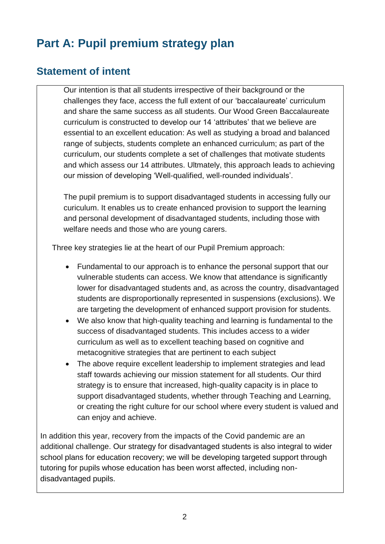# **Part A: Pupil premium strategy plan**

#### **Statement of intent**

Our intention is that all students irrespective of their background or the challenges they face, access the full extent of our 'baccalaureate' curriculum and share the same success as all students. Our Wood Green Baccalaureate curriculum is constructed to develop our 14 'attributes' that we believe are essential to an excellent education: As well as studying a broad and balanced range of subjects, students complete an enhanced curriculum; as part of the curriculum, our students complete a set of challenges that motivate students and which assess our 14 attributes. Ultmately, this approach leads to achieving our mission of developing 'Well-qualified, well-rounded individuals'.

The pupil premium is to support disadvantaged students in accessing fully our curiculum. It enables us to create enhanced provision to support the learning and personal development of disadvantaged students, including those with welfare needs and those who are young carers.

Three key strategies lie at the heart of our Pupil Premium approach:

- Fundamental to our approach is to enhance the personal support that our vulnerable students can access. We know that attendance is significantly lower for disadvantaged students and, as across the country, disadvantaged students are disproportionally represented in suspensions (exclusions). We are targeting the development of enhanced support provision for students.
- We also know that high-quality teaching and learning is fundamental to the success of disadvantaged students. This includes access to a wider curriculum as well as to excellent teaching based on cognitive and metacognitive strategies that are pertinent to each subject
- The above require excellent leadership to implement strategies and lead staff towards achieving our mission statement for all students. Our third strategy is to ensure that increased, high-quality capacity is in place to support disadvantaged students, whether through Teaching and Learning, or creating the right culture for our school where every student is valued and can enjoy and achieve.

In addition this year, recovery from the impacts of the Covid pandemic are an additional challenge. Our strategy for disadvantaged students is also integral to wider school plans for education recovery; we will be developing targeted support through tutoring for pupils whose education has been worst affected, including nondisadvantaged pupils.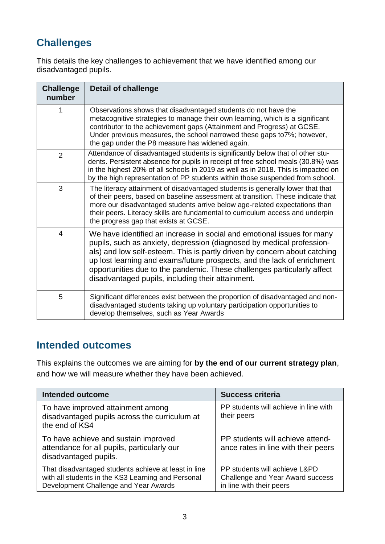### **Challenges**

This details the key challenges to achievement that we have identified among our disadvantaged pupils.

| <b>Challenge</b><br>number | <b>Detail of challenge</b>                                                                                                                                                                                                                                                                                                                                                                                                              |
|----------------------------|-----------------------------------------------------------------------------------------------------------------------------------------------------------------------------------------------------------------------------------------------------------------------------------------------------------------------------------------------------------------------------------------------------------------------------------------|
| 1                          | Observations shows that disadvantaged students do not have the<br>metacognitive strategies to manage their own learning, which is a significant<br>contributor to the achievement gaps (Attainment and Progress) at GCSE.<br>Under previous measures, the school narrowed these gaps to 7%; however,<br>the gap under the P8 measure has widened again.                                                                                 |
| $\overline{2}$             | Attendance of disadvantaged students is significantly below that of other stu-<br>dents. Persistent absence for pupils in receipt of free school meals (30.8%) was<br>in the highest 20% of all schools in 2019 as well as in 2018. This is impacted on<br>by the high representation of PP students within those suspended from school.                                                                                                |
| 3                          | The literacy attainment of disadvantaged students is generally lower that that<br>of their peers, based on baseline assessment at transition. These indicate that<br>more our disadvantaged students arrive below age-related expectations than<br>their peers. Literacy skills are fundamental to curriculum access and underpin<br>the progress gap that exists at GCSE.                                                              |
| 4                          | We have identified an increase in social and emotional issues for many<br>pupils, such as anxiety, depression (diagnosed by medical profession-<br>als) and low self-esteem. This is partly driven by concern about catching<br>up lost learning and exams/future prospects, and the lack of enrichment<br>opportunities due to the pandemic. These challenges particularly affect<br>disadvantaged pupils, including their attainment. |
| 5                          | Significant differences exist between the proportion of disadvantaged and non-<br>disadvantaged students taking up voluntary participation opportunities to<br>develop themselves, such as Year Awards                                                                                                                                                                                                                                  |

### **Intended outcomes**

This explains the outcomes we are aiming for **by the end of our current strategy plan**, and how we will measure whether they have been achieved.

| <b>Intended outcome</b>                                                                                                                             | <b>Success criteria</b>                                                                       |  |
|-----------------------------------------------------------------------------------------------------------------------------------------------------|-----------------------------------------------------------------------------------------------|--|
| To have improved attainment among<br>disadvantaged pupils across the curriculum at<br>the end of KS4                                                | PP students will achieve in line with<br>their peers                                          |  |
| To have achieve and sustain improved<br>attendance for all pupils, particularly our<br>disadvantaged pupils.                                        | PP students will achieve attend-<br>ance rates in line with their peers                       |  |
| That disadvantaged students achieve at least in line<br>with all students in the KS3 Learning and Personal<br>Development Challenge and Year Awards | PP students will achieve L&PD<br>Challenge and Year Award success<br>in line with their peers |  |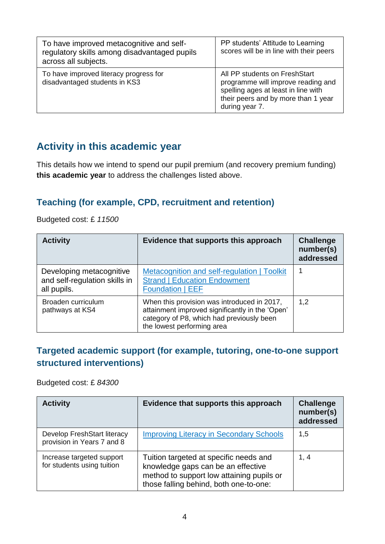| To have improved metacognitive and self-<br>regulatory skills among disadvantaged pupils<br>across all subjects. | PP students' Attitude to Learning<br>scores will be in line with their peers                                                                                        |
|------------------------------------------------------------------------------------------------------------------|---------------------------------------------------------------------------------------------------------------------------------------------------------------------|
| To have improved literacy progress for<br>disadvantaged students in KS3                                          | All PP students on FreshStart<br>programme will improve reading and<br>spelling ages at least in line with<br>their peers and by more than 1 year<br>during year 7. |

### **Activity in this academic year**

This details how we intend to spend our pupil premium (and recovery premium funding) **this academic year** to address the challenges listed above.

#### **Teaching (for example, CPD, recruitment and retention)**

Budgeted cost: £ *11500*

| <b>Activity</b>                                                          | Evidence that supports this approach                                                                                                                                      | <b>Challenge</b><br>number(s)<br>addressed |
|--------------------------------------------------------------------------|---------------------------------------------------------------------------------------------------------------------------------------------------------------------------|--------------------------------------------|
| Developing metacognitive<br>and self-regulation skills in<br>all pupils. | Metacognition and self-regulation   Toolkit<br><b>Strand   Education Endowment</b><br><b>Foundation   EEF</b>                                                             |                                            |
| Broaden curriculum<br>pathways at KS4                                    | When this provision was introduced in 2017,<br>attainment improved significantly in the 'Open'<br>category of P8, which had previously been<br>the lowest performing area | 1,2                                        |

#### **Targeted academic support (for example, tutoring, one-to-one support structured interventions)**

Budgeted cost: £ *84300*

| <b>Activity</b>                                           | Evidence that supports this approach                                                                                                                                | <b>Challenge</b><br>number(s)<br>addressed |
|-----------------------------------------------------------|---------------------------------------------------------------------------------------------------------------------------------------------------------------------|--------------------------------------------|
| Develop FreshStart literacy<br>provision in Years 7 and 8 | <b>Improving Literacy in Secondary Schools</b>                                                                                                                      | 1,5                                        |
| Increase targeted support<br>for students using tuition   | Tuition targeted at specific needs and<br>knowledge gaps can be an effective<br>method to support low attaining pupils or<br>those falling behind, both one-to-one: | 1, 4                                       |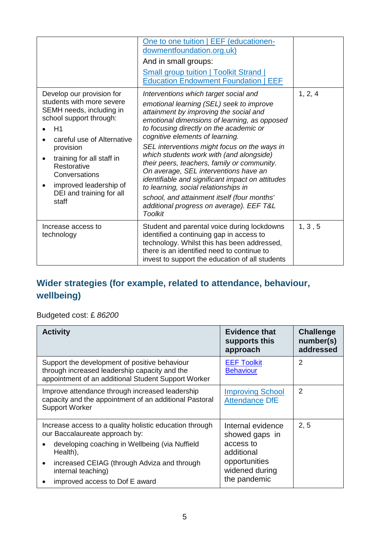|                                                                                                                                                                                                                                                                                            | One to one tuition   EEF (educationen-<br>dowmentfoundation.org.uk)<br>And in small groups:<br><b>Small group tuition   Toolkit Strand  </b><br><b>Education Endowment Foundation   EEF</b>                                                                                                                                                                                                                                                                                                                                                                                                                                                            |         |
|--------------------------------------------------------------------------------------------------------------------------------------------------------------------------------------------------------------------------------------------------------------------------------------------|--------------------------------------------------------------------------------------------------------------------------------------------------------------------------------------------------------------------------------------------------------------------------------------------------------------------------------------------------------------------------------------------------------------------------------------------------------------------------------------------------------------------------------------------------------------------------------------------------------------------------------------------------------|---------|
| Develop our provision for<br>students with more severe<br>SEMH needs, including in<br>school support through:<br>H1<br>careful use of Alternative<br>provision<br>training for all staff in<br>Restorative<br>Conversations<br>improved leadership of<br>DEI and training for all<br>staff | Interventions which target social and<br>emotional learning (SEL) seek to improve<br>attainment by improving the social and<br>emotional dimensions of learning, as opposed<br>to focusing directly on the academic or<br>cognitive elements of learning.<br>SEL interventions might focus on the ways in<br>which students work with (and alongside)<br>their peers, teachers, family or community.<br>On average, SEL interventions have an<br>identifiable and significant impact on attitudes<br>to learning, social relationships in<br>school, and attainment itself (four months'<br>additional progress on average). EEF T&L<br><b>Toolkit</b> | 1, 2, 4 |
| Increase access to<br>technology                                                                                                                                                                                                                                                           | Student and parental voice during lockdowns<br>identified a continuing gap in access to<br>technology. Whilst this has been addressed,<br>there is an identified need to continue to<br>invest to support the education of all students                                                                                                                                                                                                                                                                                                                                                                                                                | 1, 3, 5 |

### **Wider strategies (for example, related to attendance, behaviour, wellbeing)**

Budgeted cost: £ *86200*

| <b>Activity</b>                                                                                                                                                                                                                                                             | <b>Evidence that</b><br>supports this<br>approach                                                                 | <b>Challenge</b><br>number(s)<br>addressed |
|-----------------------------------------------------------------------------------------------------------------------------------------------------------------------------------------------------------------------------------------------------------------------------|-------------------------------------------------------------------------------------------------------------------|--------------------------------------------|
| Support the development of positive behaviour<br>through increased leadership capacity and the<br>appointment of an additional Student Support Worker                                                                                                                       | <b>EEF Toolkit</b><br><b>Behaviour</b>                                                                            | 2                                          |
| Improve attendance through increased leadership<br>capacity and the appointment of an additional Pastoral<br><b>Support Worker</b>                                                                                                                                          | <b>Improving School</b><br><b>Attendance DfE</b>                                                                  | $\overline{2}$                             |
| Increase access to a quality holistic education through<br>our Baccalaureate approach by:<br>developing coaching in Wellbeing (via Nuffield<br>Health),<br>increased CEIAG (through Adviza and through<br>$\bullet$<br>internal teaching)<br>improved access to Dof E award | Internal evidence<br>showed gaps in<br>access to<br>additional<br>opportunities<br>widened during<br>the pandemic | 2, 5                                       |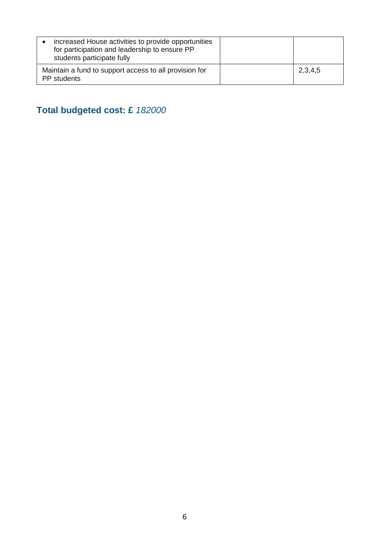| increased House activities to provide opportunities<br>for participation and leadership to ensure PP<br>students participate fully |         |
|------------------------------------------------------------------------------------------------------------------------------------|---------|
| Maintain a fund to support access to all provision for<br>PP students                                                              | 2,3,4,5 |

**Total budgeted cost: £** *182000*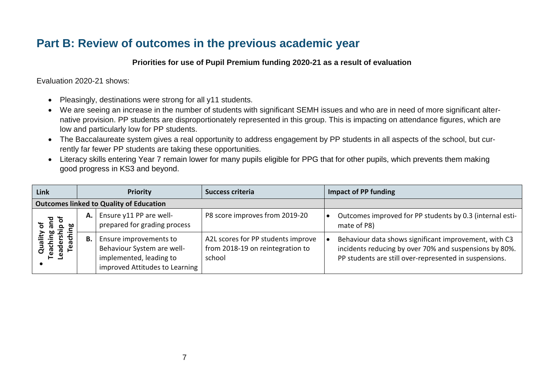## **Part B: Review of outcomes in the previous academic year**

#### **Priorities for use of Pupil Premium funding 2020-21 as a result of evaluation**

Evaluation 2020-21 shows:

- Pleasingly, destinations were strong for all y11 students.
- We are seeing an increase in the number of students with significant SEMH issues and who are in need of more significant alternative provision. PP students are disproportionately represented in this group. This is impacting on attendance figures, which are low and particularly low for PP students.
- The Baccalaureate system gives a real opportunity to address engagement by PP students in all aspects of the school, but currently far fewer PP students are taking these opportunities.
- Literacy skills entering Year 7 remain lower for many pupils eligible for PPG that for other pupils, which prevents them making good progress in KS3 and beyond.

| Link                                  |    | <b>Priority</b>                                                                                                   | Success criteria                                                                 | <b>Impact of PP funding</b>                                                                                                                                               |
|---------------------------------------|----|-------------------------------------------------------------------------------------------------------------------|----------------------------------------------------------------------------------|---------------------------------------------------------------------------------------------------------------------------------------------------------------------------|
|                                       |    | <b>Outcomes linked to Quality of Education</b>                                                                    |                                                                                  |                                                                                                                                                                           |
| ិ<br>ஜ<br>௨                           | А. | Ensure y11 PP are well-<br>prepared for grading process                                                           | P8 score improves from 2019-20                                                   | Outcomes improved for PP students by 0.3 (internal esti-<br>mate of P8)                                                                                                   |
| 용.<br>1다<br>ader<br>aua<br>Teach<br>ူ | В. | Ensure improvements to<br>Behaviour System are well-<br>implemented, leading to<br>improved Attitudes to Learning | A2L scores for PP students improve<br>from 2018-19 on reintegration to<br>school | Behaviour data shows significant improvement, with C3<br>incidents reducing by over 70% and suspensions by 80%.<br>PP students are still over-represented in suspensions. |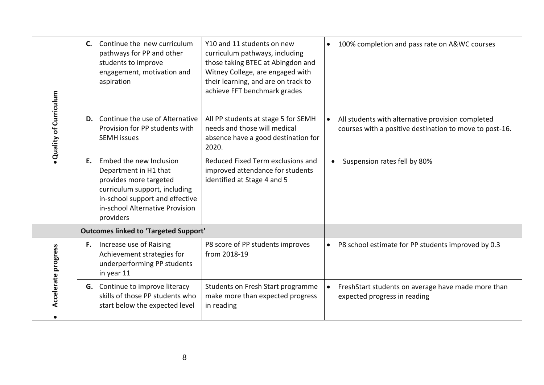|                       | C.                                           | Continue the new curriculum<br>pathways for PP and other<br>students to improve<br>engagement, motivation and<br>aspiration                                                                    | Y10 and 11 students on new<br>curriculum pathways, including<br>those taking BTEC at Abingdon and<br>Witney College, are engaged with<br>their learning, and are on track to<br>achieve FFT benchmark grades | 100% completion and pass rate on A&WC courses                                                                             |
|-----------------------|----------------------------------------------|------------------------------------------------------------------------------------------------------------------------------------------------------------------------------------------------|--------------------------------------------------------------------------------------------------------------------------------------------------------------------------------------------------------------|---------------------------------------------------------------------------------------------------------------------------|
| Quality of Curriculum | D.                                           | Continue the use of Alternative<br>Provision for PP students with<br><b>SEMH</b> issues                                                                                                        | All PP students at stage 5 for SEMH<br>needs and those will medical<br>absence have a good destination for<br>2020.                                                                                          | All students with alternative provision completed<br>$\bullet$<br>courses with a positive destination to move to post-16. |
|                       | Е.                                           | Embed the new Inclusion<br>Department in H1 that<br>provides more targeted<br>curriculum support, including<br>in-school support and effective<br>in-school Alternative Provision<br>providers | Reduced Fixed Term exclusions and<br>improved attendance for students<br>identified at Stage 4 and 5                                                                                                         | Suspension rates fell by 80%                                                                                              |
|                       | <b>Outcomes linked to 'Targeted Support'</b> |                                                                                                                                                                                                |                                                                                                                                                                                                              |                                                                                                                           |
| Accelerate progress   | F.                                           | Increase use of Raising<br>Achievement strategies for<br>underperforming PP students<br>in year 11                                                                                             | P8 score of PP students improves<br>from 2018-19                                                                                                                                                             | P8 school estimate for PP students improved by 0.3<br>$\bullet$                                                           |
|                       | G.                                           | Continue to improve literacy<br>skills of those PP students who<br>start below the expected level                                                                                              | Students on Fresh Start programme<br>make more than expected progress<br>in reading                                                                                                                          | FreshStart students on average have made more than<br>expected progress in reading                                        |